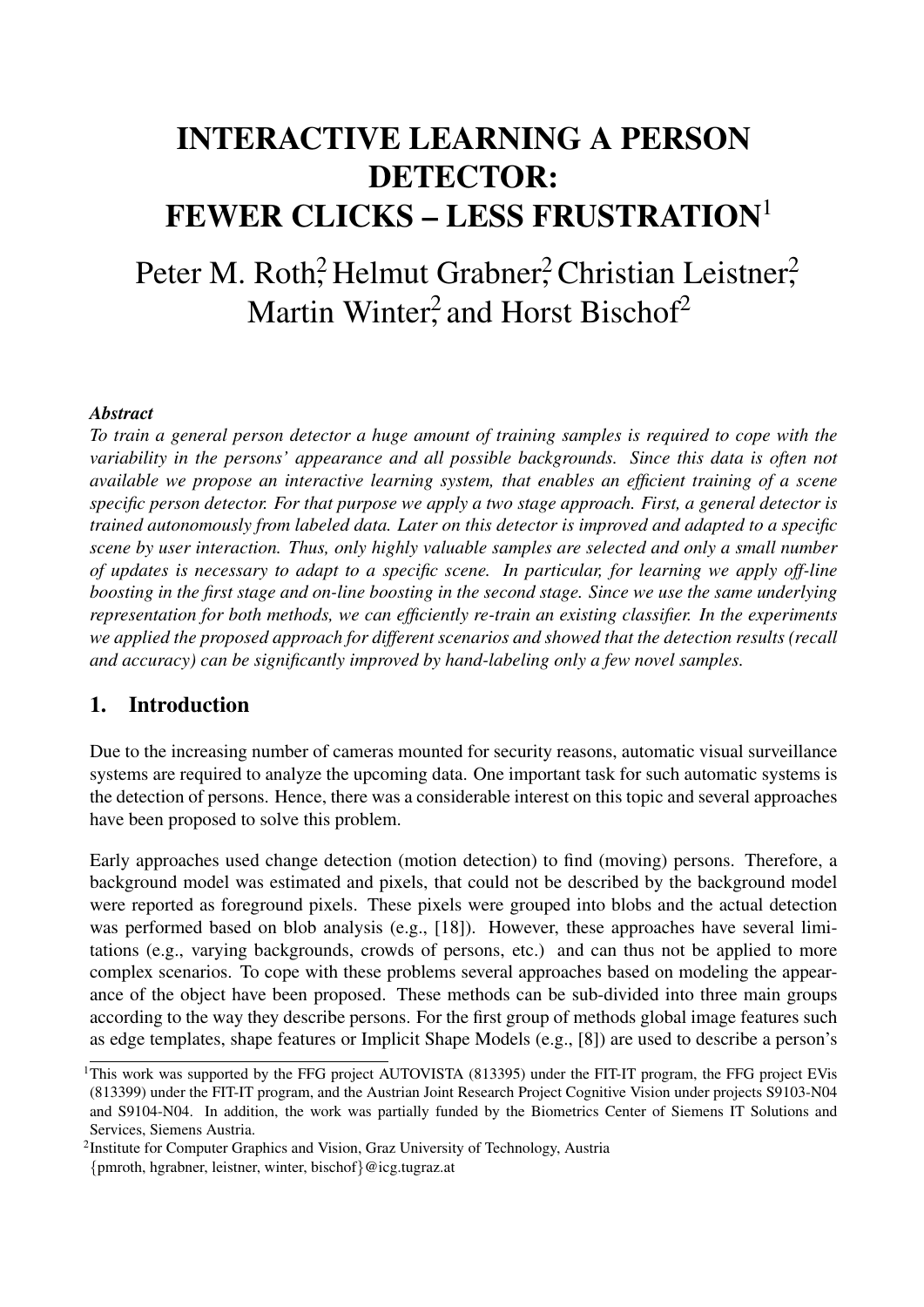# INTERACTIVE LEARNING A PERSON DETECTOR: FEWER CLICKS – LESS FRUSTRATION<sup>1</sup>

Peter M. Roth<sup>2</sup>, Helmut Grabner<sup>2</sup>, Christian Leistner<sup>2</sup>, Martin Winter<sup>2</sup>, and Horst Bischof<sup>2</sup>

#### *Abstract*

*To train a general person detector a huge amount of training samples is required to cope with the variability in the persons' appearance and all possible backgrounds. Since this data is often not available we propose an interactive learning system, that enables an efficient training of a scene specific person detector. For that purpose we apply a two stage approach. First, a general detector is trained autonomously from labeled data. Later on this detector is improved and adapted to a specific scene by user interaction. Thus, only highly valuable samples are selected and only a small number of updates is necessary to adapt to a specific scene. In particular, for learning we apply off-line boosting in the first stage and on-line boosting in the second stage. Since we use the same underlying representation for both methods, we can efficiently re-train an existing classifier. In the experiments we applied the proposed approach for different scenarios and showed that the detection results (recall and accuracy) can be significantly improved by hand-labeling only a few novel samples.*

## 1. Introduction

Due to the increasing number of cameras mounted for security reasons, automatic visual surveillance systems are required to analyze the upcoming data. One important task for such automatic systems is the detection of persons. Hence, there was a considerable interest on this topic and several approaches have been proposed to solve this problem.

Early approaches used change detection (motion detection) to find (moving) persons. Therefore, a background model was estimated and pixels, that could not be described by the background model were reported as foreground pixels. These pixels were grouped into blobs and the actual detection was performed based on blob analysis (e.g., [18]). However, these approaches have several limitations (e.g., varying backgrounds, crowds of persons, etc.) and can thus not be applied to more complex scenarios. To cope with these problems several approaches based on modeling the appearance of the object have been proposed. These methods can be sub-divided into three main groups according to the way they describe persons. For the first group of methods global image features such as edge templates, shape features or Implicit Shape Models (e.g., [8]) are used to describe a person's

<sup>&</sup>lt;sup>1</sup>This work was supported by the FFG project AUTOVISTA (813395) under the FIT-IT program, the FFG project EVis (813399) under the FIT-IT program, and the Austrian Joint Research Project Cognitive Vision under projects S9103-N04 and S9104-N04. In addition, the work was partially funded by the Biometrics Center of Siemens IT Solutions and Services, Siemens Austria.

<sup>&</sup>lt;sup>2</sup>Institute for Computer Graphics and Vision, Graz University of Technology, Austria

<sup>{</sup>pmroth, hgrabner, leistner, winter, bischof}@icg.tugraz.at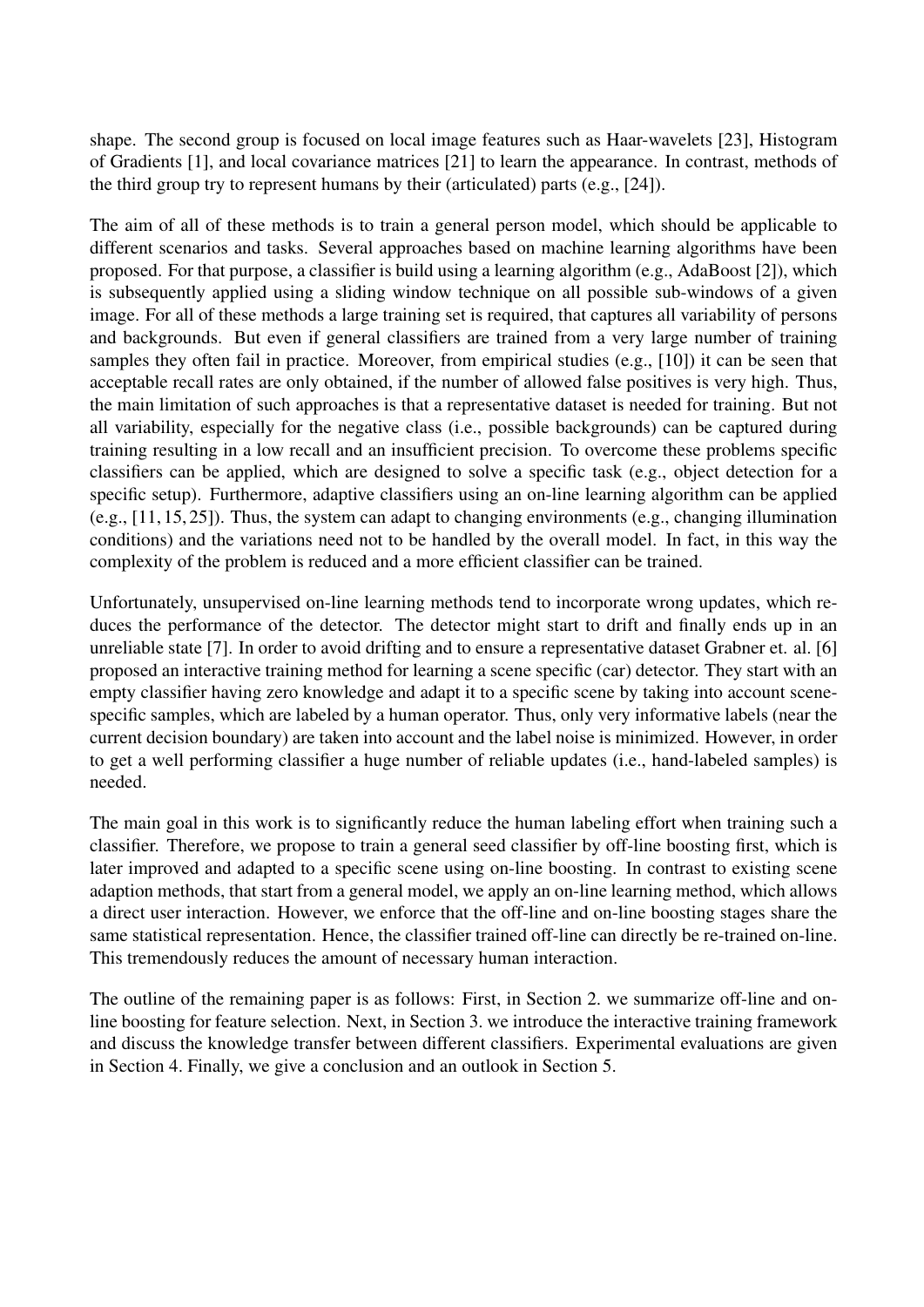shape. The second group is focused on local image features such as Haar-wavelets [23], Histogram of Gradients [1], and local covariance matrices [21] to learn the appearance. In contrast, methods of the third group try to represent humans by their (articulated) parts (e.g., [24]).

The aim of all of these methods is to train a general person model, which should be applicable to different scenarios and tasks. Several approaches based on machine learning algorithms have been proposed. For that purpose, a classifier is build using a learning algorithm (e.g., AdaBoost [2]), which is subsequently applied using a sliding window technique on all possible sub-windows of a given image. For all of these methods a large training set is required, that captures all variability of persons and backgrounds. But even if general classifiers are trained from a very large number of training samples they often fail in practice. Moreover, from empirical studies (e.g., [10]) it can be seen that acceptable recall rates are only obtained, if the number of allowed false positives is very high. Thus, the main limitation of such approaches is that a representative dataset is needed for training. But not all variability, especially for the negative class (i.e., possible backgrounds) can be captured during training resulting in a low recall and an insufficient precision. To overcome these problems specific classifiers can be applied, which are designed to solve a specific task (e.g., object detection for a specific setup). Furthermore, adaptive classifiers using an on-line learning algorithm can be applied (e.g., [11, 15, 25]). Thus, the system can adapt to changing environments (e.g., changing illumination conditions) and the variations need not to be handled by the overall model. In fact, in this way the complexity of the problem is reduced and a more efficient classifier can be trained.

Unfortunately, unsupervised on-line learning methods tend to incorporate wrong updates, which reduces the performance of the detector. The detector might start to drift and finally ends up in an unreliable state [7]. In order to avoid drifting and to ensure a representative dataset Grabner et. al. [6] proposed an interactive training method for learning a scene specific (car) detector. They start with an empty classifier having zero knowledge and adapt it to a specific scene by taking into account scenespecific samples, which are labeled by a human operator. Thus, only very informative labels (near the current decision boundary) are taken into account and the label noise is minimized. However, in order to get a well performing classifier a huge number of reliable updates (i.e., hand-labeled samples) is needed.

The main goal in this work is to significantly reduce the human labeling effort when training such a classifier. Therefore, we propose to train a general seed classifier by off-line boosting first, which is later improved and adapted to a specific scene using on-line boosting. In contrast to existing scene adaption methods, that start from a general model, we apply an on-line learning method, which allows a direct user interaction. However, we enforce that the off-line and on-line boosting stages share the same statistical representation. Hence, the classifier trained off-line can directly be re-trained on-line. This tremendously reduces the amount of necessary human interaction.

The outline of the remaining paper is as follows: First, in Section 2. we summarize off-line and online boosting for feature selection. Next, in Section 3. we introduce the interactive training framework and discuss the knowledge transfer between different classifiers. Experimental evaluations are given in Section 4. Finally, we give a conclusion and an outlook in Section 5.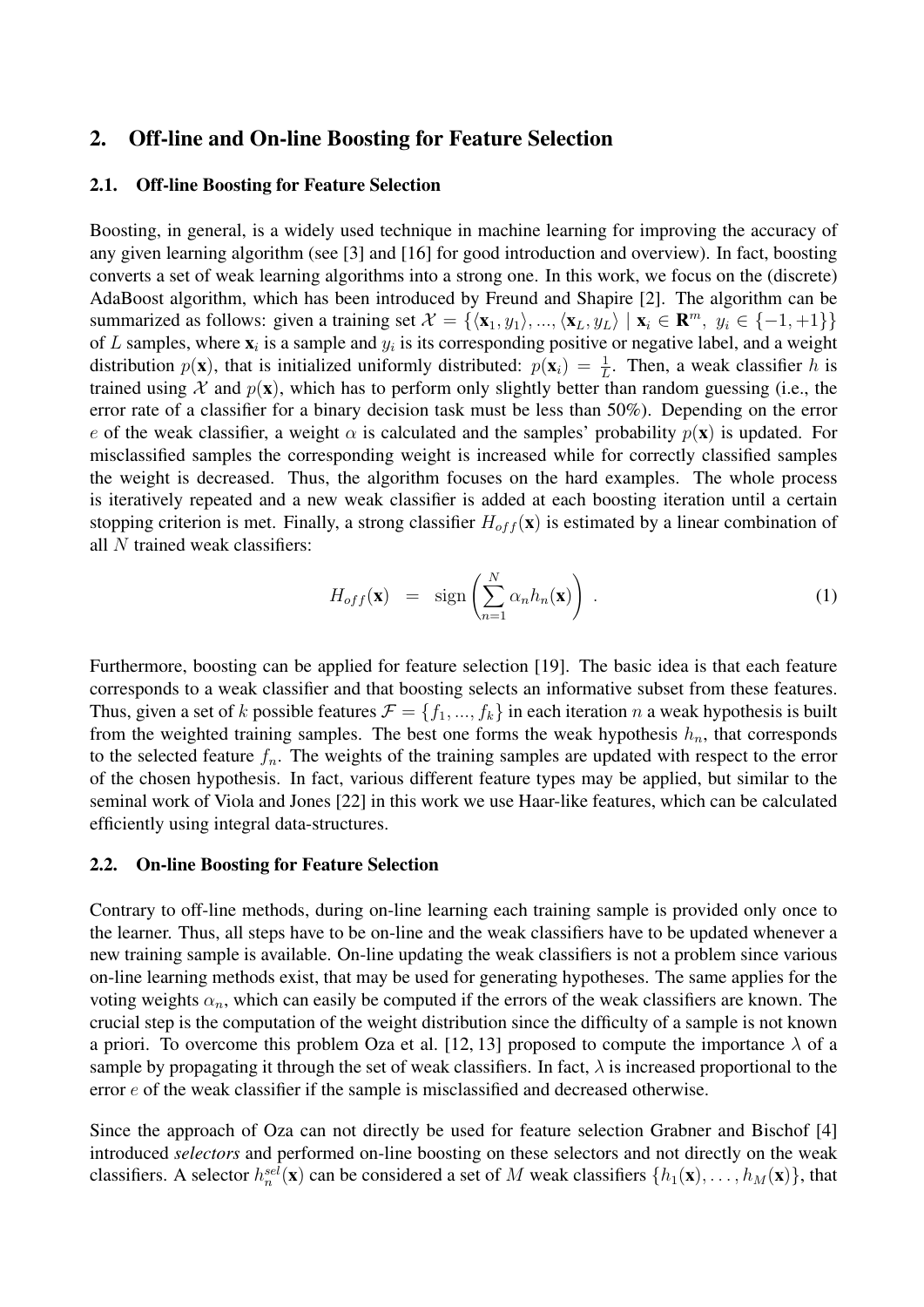## 2. Off-line and On-line Boosting for Feature Selection

#### 2.1. Off-line Boosting for Feature Selection

Boosting, in general, is a widely used technique in machine learning for improving the accuracy of any given learning algorithm (see [3] and [16] for good introduction and overview). In fact, boosting converts a set of weak learning algorithms into a strong one. In this work, we focus on the (discrete) AdaBoost algorithm, which has been introduced by Freund and Shapire [2]. The algorithm can be summarized as follows: given a training set  $\mathcal{X} = \{ \langle \mathbf{x}_1, y_1 \rangle, ..., \langle \mathbf{x}_L, y_L \rangle \mid \mathbf{x}_i \in \mathbf{R}^m, y_i \in \{-1, +1\} \}$ of L samples, where  $\mathbf{x}_i$  is a sample and  $y_i$  is its corresponding positive or negative label, and a weight distribution  $p(\mathbf{x})$ , that is initialized uniformly distributed:  $p(\mathbf{x}_i) = \frac{1}{L}$ . Then, a weak classifier h is trained using X and  $p(x)$ , which has to perform only slightly better than random guessing (i.e., the error rate of a classifier for a binary decision task must be less than 50%). Depending on the error e of the weak classifier, a weight  $\alpha$  is calculated and the samples' probability  $p(x)$  is updated. For misclassified samples the corresponding weight is increased while for correctly classified samples the weight is decreased. Thus, the algorithm focuses on the hard examples. The whole process is iteratively repeated and a new weak classifier is added at each boosting iteration until a certain stopping criterion is met. Finally, a strong classifier  $H_{off}(\mathbf{x})$  is estimated by a linear combination of all N trained weak classifiers:

$$
H_{off}(\mathbf{x}) = \text{sign}\left(\sum_{n=1}^{N} \alpha_n h_n(\mathbf{x})\right).
$$
 (1)

Furthermore, boosting can be applied for feature selection [19]. The basic idea is that each feature corresponds to a weak classifier and that boosting selects an informative subset from these features. Thus, given a set of k possible features  $\mathcal{F} = \{f_1, ..., f_k\}$  in each iteration n a weak hypothesis is built from the weighted training samples. The best one forms the weak hypothesis  $h_n$ , that corresponds to the selected feature  $f_n$ . The weights of the training samples are updated with respect to the error of the chosen hypothesis. In fact, various different feature types may be applied, but similar to the seminal work of Viola and Jones [22] in this work we use Haar-like features, which can be calculated efficiently using integral data-structures.

#### 2.2. On-line Boosting for Feature Selection

Contrary to off-line methods, during on-line learning each training sample is provided only once to the learner. Thus, all steps have to be on-line and the weak classifiers have to be updated whenever a new training sample is available. On-line updating the weak classifiers is not a problem since various on-line learning methods exist, that may be used for generating hypotheses. The same applies for the voting weights  $\alpha_n$ , which can easily be computed if the errors of the weak classifiers are known. The crucial step is the computation of the weight distribution since the difficulty of a sample is not known a priori. To overcome this problem Oza et al. [12, 13] proposed to compute the importance  $\lambda$  of a sample by propagating it through the set of weak classifiers. In fact,  $\lambda$  is increased proportional to the error  $e$  of the weak classifier if the sample is misclassified and decreased otherwise.

Since the approach of Oza can not directly be used for feature selection Grabner and Bischof [4] introduced *selectors* and performed on-line boosting on these selectors and not directly on the weak classifiers. A selector  $h_n^{sel}(\mathbf{x})$  can be considered a set of M weak classifiers  $\{h_1(\mathbf{x}), \ldots, h_M(\mathbf{x})\}$ , that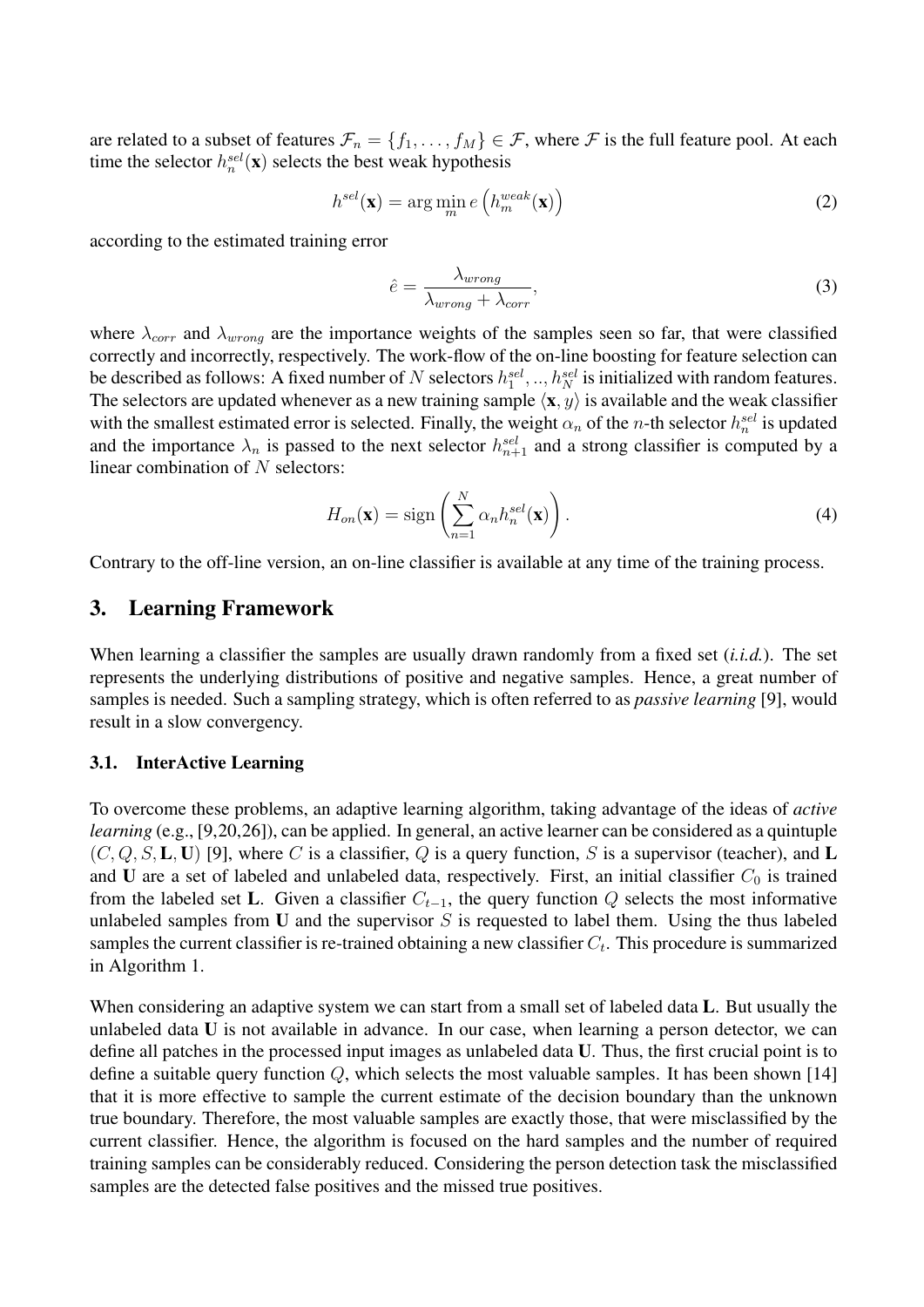are related to a subset of features  $\mathcal{F}_n = \{f_1, \ldots, f_M\} \in \mathcal{F}$ , where  $\mathcal{F}$  is the full feature pool. At each time the selector  $h_n^{sel}(\mathbf{x})$  selects the best weak hypothesis

$$
h^{sel}(\mathbf{x}) = \arg\min_{m} e\left(h_m^{weak}(\mathbf{x})\right)
$$
 (2)

according to the estimated training error

$$
\hat{e} = \frac{\lambda_{wrong}}{\lambda_{wrong} + \lambda_{corr}},\tag{3}
$$

where  $\lambda_{corr}$  and  $\lambda_{wrong}$  are the importance weights of the samples seen so far, that were classified correctly and incorrectly, respectively. The work-flow of the on-line boosting for feature selection can be described as follows: A fixed number of N selectors  $h_1^{sel}, ..., h_N^{sel}$  is initialized with random features. The selectors are updated whenever as a new training sample  $\langle \mathbf{x}, y \rangle$  is available and the weak classifier with the smallest estimated error is selected. Finally, the weight  $\alpha_n$  of the *n*-th selector  $h_n^{sel}$  is updated and the importance  $\lambda_n$  is passed to the next selector  $h_{n+1}^{sel}$  and a strong classifier is computed by a linear combination of  $N$  selectors:

$$
H_{on}(\mathbf{x}) = \text{sign}\left(\sum_{n=1}^{N} \alpha_n h_n^{sel}(\mathbf{x})\right).
$$
 (4)

Contrary to the off-line version, an on-line classifier is available at any time of the training process.

## 3. Learning Framework

When learning a classifier the samples are usually drawn randomly from a fixed set (*i.i.d.*). The set represents the underlying distributions of positive and negative samples. Hence, a great number of samples is needed. Such a sampling strategy, which is often referred to as *passive learning* [9], would result in a slow convergency.

#### 3.1. InterActive Learning

To overcome these problems, an adaptive learning algorithm, taking advantage of the ideas of *active learning* (e.g., [9,20,26]), can be applied. In general, an active learner can be considered as a quintuple  $(C, Q, S, L, U)$  [9], where C is a classifier, Q is a query function, S is a supervisor (teacher), and L and U are a set of labeled and unlabeled data, respectively. First, an initial classifier  $C_0$  is trained from the labeled set L. Given a classifier  $C_{t-1}$ , the query function Q selects the most informative unlabeled samples from U and the supervisor  $S$  is requested to label them. Using the thus labeled samples the current classifier is re-trained obtaining a new classifier  $C_t$ . This procedure is summarized in Algorithm 1.

When considering an adaptive system we can start from a small set of labeled data L. But usually the unlabeled data U is not available in advance. In our case, when learning a person detector, we can define all patches in the processed input images as unlabeled data U. Thus, the first crucial point is to define a suitable query function  $Q$ , which selects the most valuable samples. It has been shown [14] that it is more effective to sample the current estimate of the decision boundary than the unknown true boundary. Therefore, the most valuable samples are exactly those, that were misclassified by the current classifier. Hence, the algorithm is focused on the hard samples and the number of required training samples can be considerably reduced. Considering the person detection task the misclassified samples are the detected false positives and the missed true positives.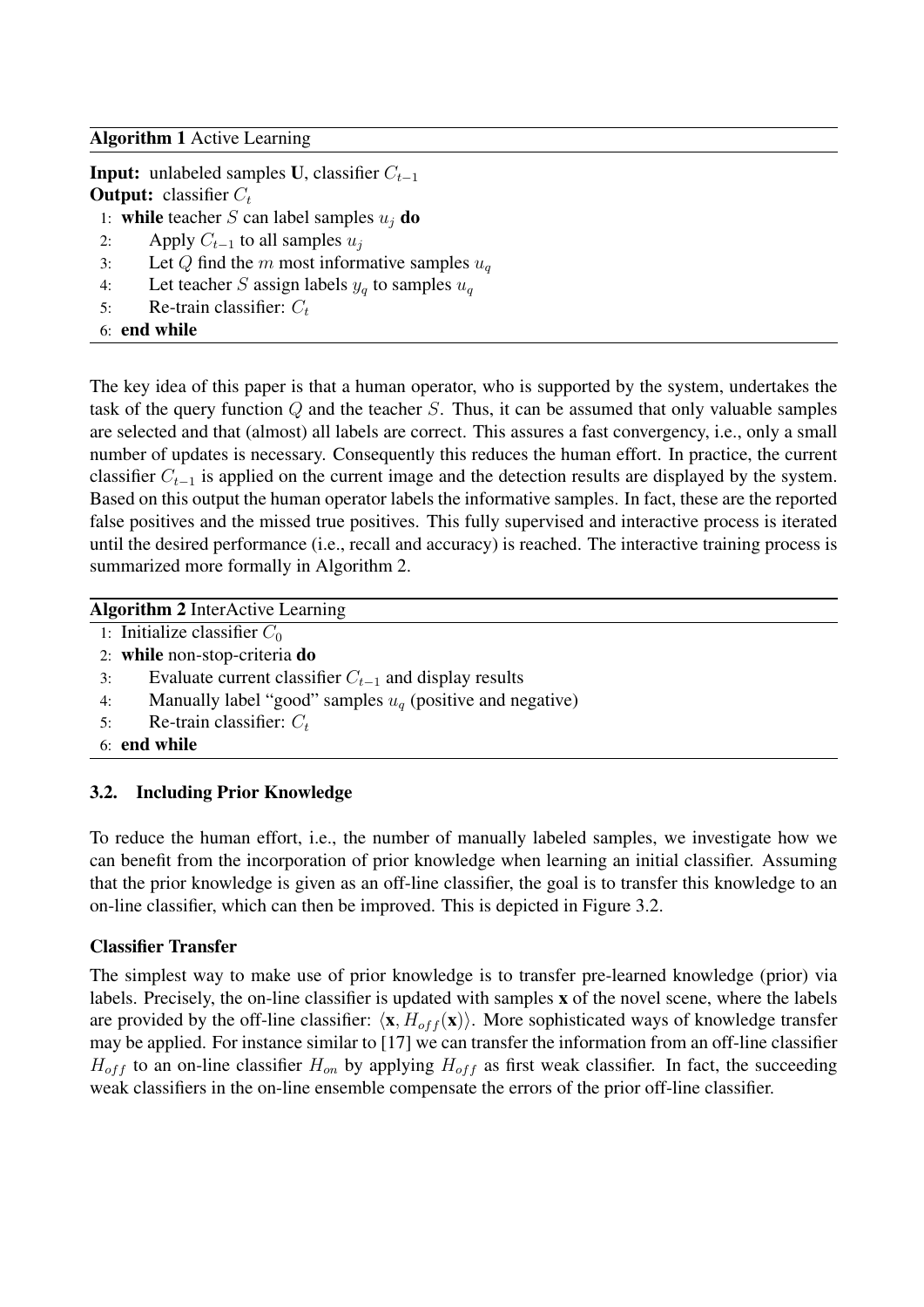### Algorithm 1 Active Learning

**Input:** unlabeled samples **U**, classifier  $C_{t-1}$ **Output:** classifier  $C_t$ 

- 1: while teacher S can label samples  $u_i$  do
- 2: Apply  $C_{t-1}$  to all samples  $u_i$
- 3: Let Q find the m most informative samples  $u_q$
- 4: Let teacher S assign labels  $y_q$  to samples  $u_q$
- 5: Re-train classifier:  $C_t$
- 6: end while

The key idea of this paper is that a human operator, who is supported by the system, undertakes the task of the query function  $Q$  and the teacher  $S$ . Thus, it can be assumed that only valuable samples are selected and that (almost) all labels are correct. This assures a fast convergency, i.e., only a small number of updates is necessary. Consequently this reduces the human effort. In practice, the current classifier  $C_{t-1}$  is applied on the current image and the detection results are displayed by the system. Based on this output the human operator labels the informative samples. In fact, these are the reported false positives and the missed true positives. This fully supervised and interactive process is iterated until the desired performance (i.e., recall and accuracy) is reached. The interactive training process is summarized more formally in Algorithm 2.

### Algorithm 2 InterActive Learning

- 1: Initialize classifier  $C_0$
- 2: while non-stop-criteria do
- 3: Evaluate current classifier  $C_{t-1}$  and display results
- 4: Manually label "good" samples  $u_q$  (positive and negative)
- 5: Re-train classifier:  $C_t$
- 6: end while

## 3.2. Including Prior Knowledge

To reduce the human effort, i.e., the number of manually labeled samples, we investigate how we can benefit from the incorporation of prior knowledge when learning an initial classifier. Assuming that the prior knowledge is given as an off-line classifier, the goal is to transfer this knowledge to an on-line classifier, which can then be improved. This is depicted in Figure 3.2.

## Classifier Transfer

The simplest way to make use of prior knowledge is to transfer pre-learned knowledge (prior) via labels. Precisely, the on-line classifier is updated with samples x of the novel scene, where the labels are provided by the off-line classifier:  $\langle x, H_{off} (x) \rangle$ . More sophisticated ways of knowledge transfer may be applied. For instance similar to [17] we can transfer the information from an off-line classifier  $H_{off}$  to an on-line classifier  $H_{on}$  by applying  $H_{off}$  as first weak classifier. In fact, the succeeding weak classifiers in the on-line ensemble compensate the errors of the prior off-line classifier.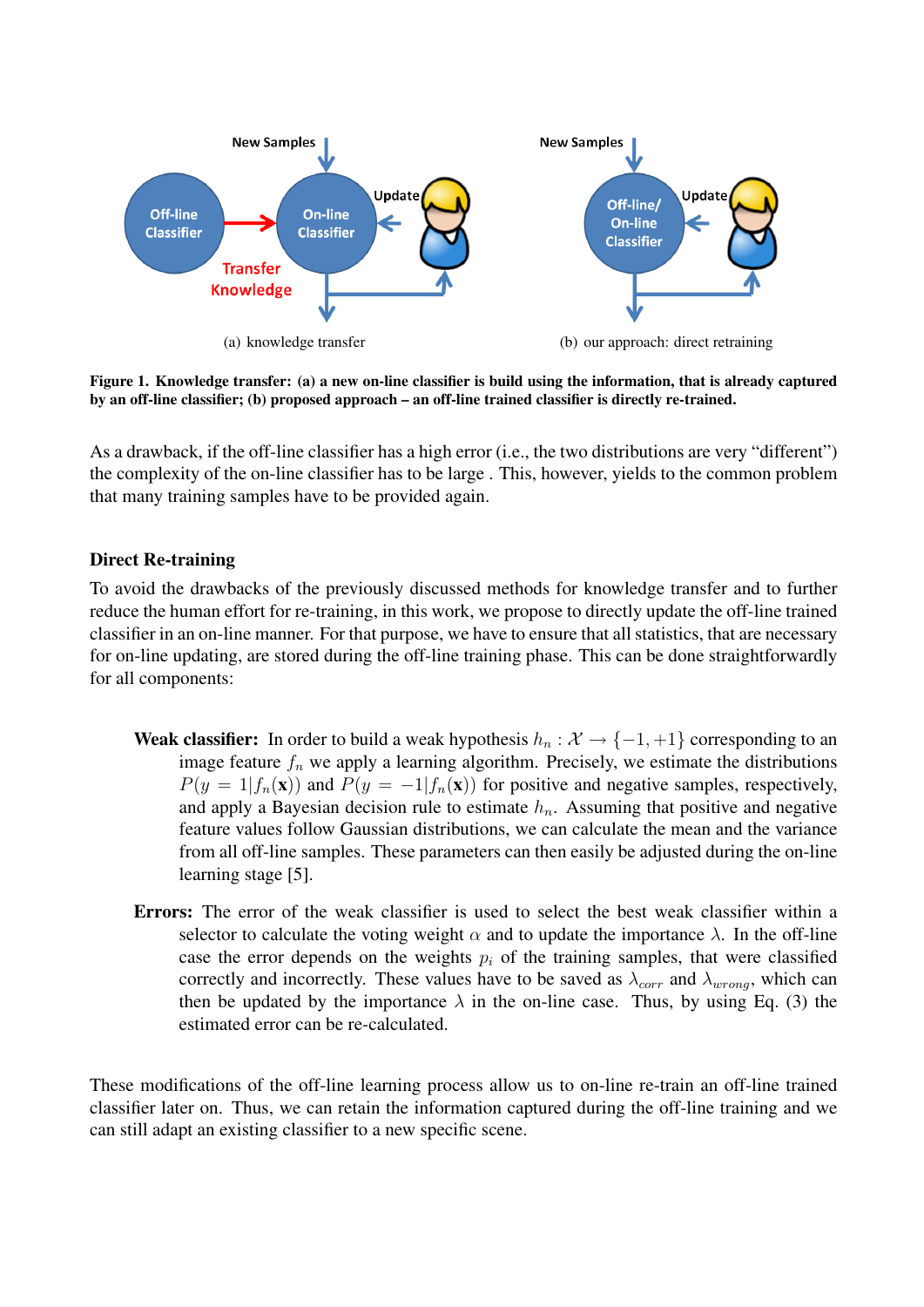

Figure 1. Knowledge transfer: (a) a new on-line classifier is build using the information, that is already captured by an off-line classifier; (b) proposed approach – an off-line trained classifier is directly re-trained.

As a drawback, if the off-line classifier has a high error (i.e., the two distributions are very "different") the complexity of the on-line classifier has to be large . This, however, yields to the common problem that many training samples have to be provided again.

### Direct Re-training

To avoid the drawbacks of the previously discussed methods for knowledge transfer and to further reduce the human effort for re-training, in this work, we propose to directly update the off-line trained classifier in an on-line manner. For that purpose, we have to ensure that all statistics, that are necessary for on-line updating, are stored during the off-line training phase. This can be done straightforwardly for all components:

- **Weak classifier:** In order to build a weak hypothesis  $h_n : \mathcal{X} \to \{-1, +1\}$  corresponding to an image feature  $f_n$  we apply a learning algorithm. Precisely, we estimate the distributions  $P(y = 1|f_n(\mathbf{x}))$  and  $P(y = -1|f_n(\mathbf{x}))$  for positive and negative samples, respectively, and apply a Bayesian decision rule to estimate  $h_n$ . Assuming that positive and negative feature values follow Gaussian distributions, we can calculate the mean and the variance from all off-line samples. These parameters can then easily be adjusted during the on-line learning stage [5].
- Errors: The error of the weak classifier is used to select the best weak classifier within a selector to calculate the voting weight  $\alpha$  and to update the importance  $\lambda$ . In the off-line case the error depends on the weights  $p_i$  of the training samples, that were classified correctly and incorrectly. These values have to be saved as  $\lambda_{corr}$  and  $\lambda_{wrong}$ , which can then be updated by the importance  $\lambda$  in the on-line case. Thus, by using Eq. (3) the estimated error can be re-calculated.

These modifications of the off-line learning process allow us to on-line re-train an off-line trained classifier later on. Thus, we can retain the information captured during the off-line training and we can still adapt an existing classifier to a new specific scene.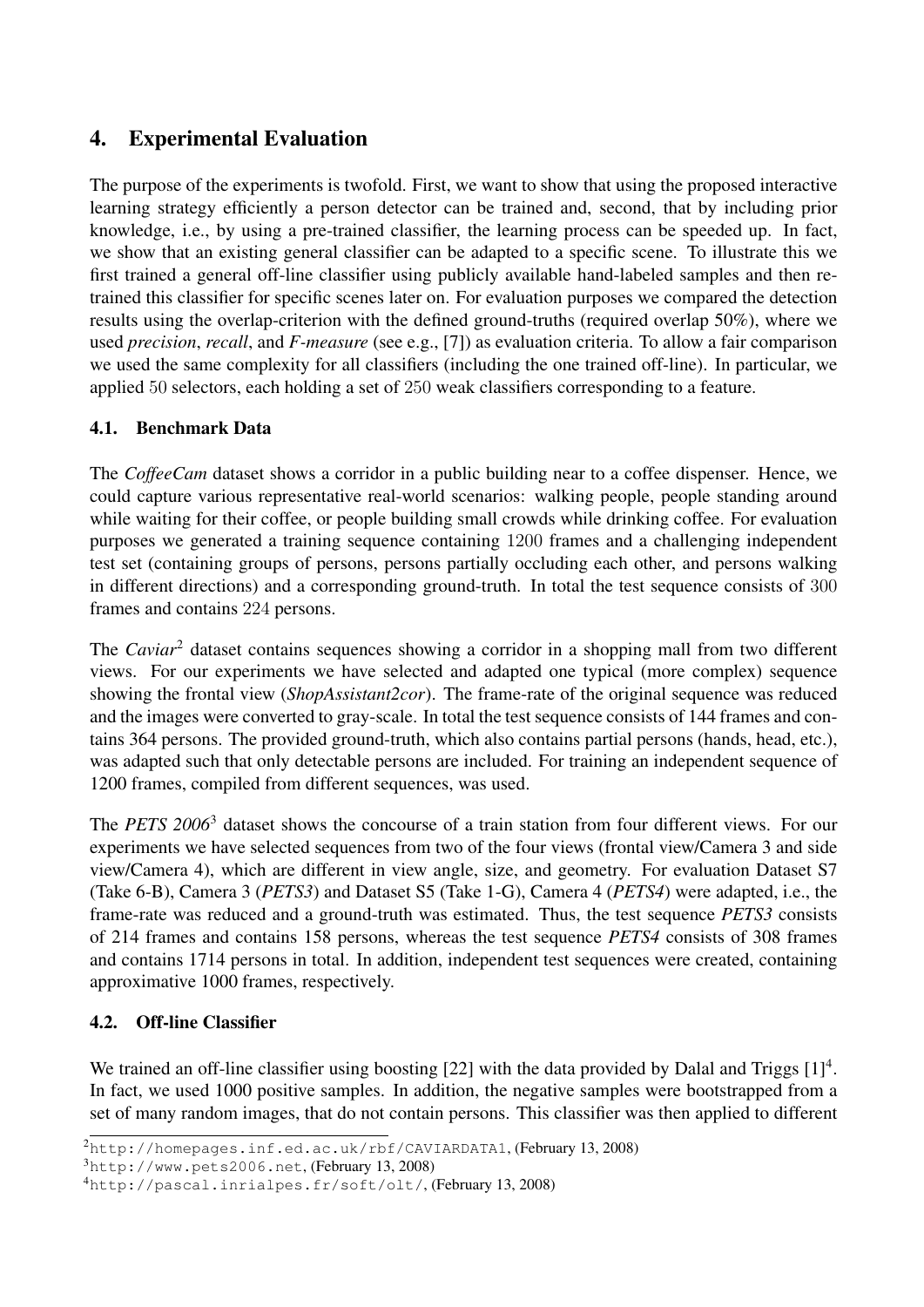# 4. Experimental Evaluation

The purpose of the experiments is twofold. First, we want to show that using the proposed interactive learning strategy efficiently a person detector can be trained and, second, that by including prior knowledge, i.e., by using a pre-trained classifier, the learning process can be speeded up. In fact, we show that an existing general classifier can be adapted to a specific scene. To illustrate this we first trained a general off-line classifier using publicly available hand-labeled samples and then retrained this classifier for specific scenes later on. For evaluation purposes we compared the detection results using the overlap-criterion with the defined ground-truths (required overlap 50%), where we used *precision*, *recall*, and *F-measure* (see e.g., [7]) as evaluation criteria. To allow a fair comparison we used the same complexity for all classifiers (including the one trained off-line). In particular, we applied 50 selectors, each holding a set of 250 weak classifiers corresponding to a feature.

# 4.1. Benchmark Data

The *CoffeeCam* dataset shows a corridor in a public building near to a coffee dispenser. Hence, we could capture various representative real-world scenarios: walking people, people standing around while waiting for their coffee, or people building small crowds while drinking coffee. For evaluation purposes we generated a training sequence containing 1200 frames and a challenging independent test set (containing groups of persons, persons partially occluding each other, and persons walking in different directions) and a corresponding ground-truth. In total the test sequence consists of 300 frames and contains 224 persons.

The *Caviar*<sup>2</sup> dataset contains sequences showing a corridor in a shopping mall from two different views. For our experiments we have selected and adapted one typical (more complex) sequence showing the frontal view (*ShopAssistant2cor*). The frame-rate of the original sequence was reduced and the images were converted to gray-scale. In total the test sequence consists of 144 frames and contains 364 persons. The provided ground-truth, which also contains partial persons (hands, head, etc.), was adapted such that only detectable persons are included. For training an independent sequence of 1200 frames, compiled from different sequences, was used.

The *PETS 2006*<sup>3</sup> dataset shows the concourse of a train station from four different views. For our experiments we have selected sequences from two of the four views (frontal view/Camera 3 and side view/Camera 4), which are different in view angle, size, and geometry. For evaluation Dataset S7 (Take 6-B), Camera 3 (*PETS3*) and Dataset S5 (Take 1-G), Camera 4 (*PETS4*) were adapted, i.e., the frame-rate was reduced and a ground-truth was estimated. Thus, the test sequence *PETS3* consists of 214 frames and contains 158 persons, whereas the test sequence *PETS4* consists of 308 frames and contains 1714 persons in total. In addition, independent test sequences were created, containing approximative 1000 frames, respectively.

# 4.2. Off-line Classifier

We trained an off-line classifier using boosting [22] with the data provided by Dalal and Triggs [1]<sup>4</sup>. In fact, we used 1000 positive samples. In addition, the negative samples were bootstrapped from a set of many random images, that do not contain persons. This classifier was then applied to different

<sup>2</sup>http://homepages.inf.ed.ac.uk/rbf/CAVIARDATA1, (February 13, 2008)

<sup>3</sup>http://www.pets2006.net, (February 13, 2008)

<sup>4</sup>http://pascal.inrialpes.fr/soft/olt/, (February 13, 2008)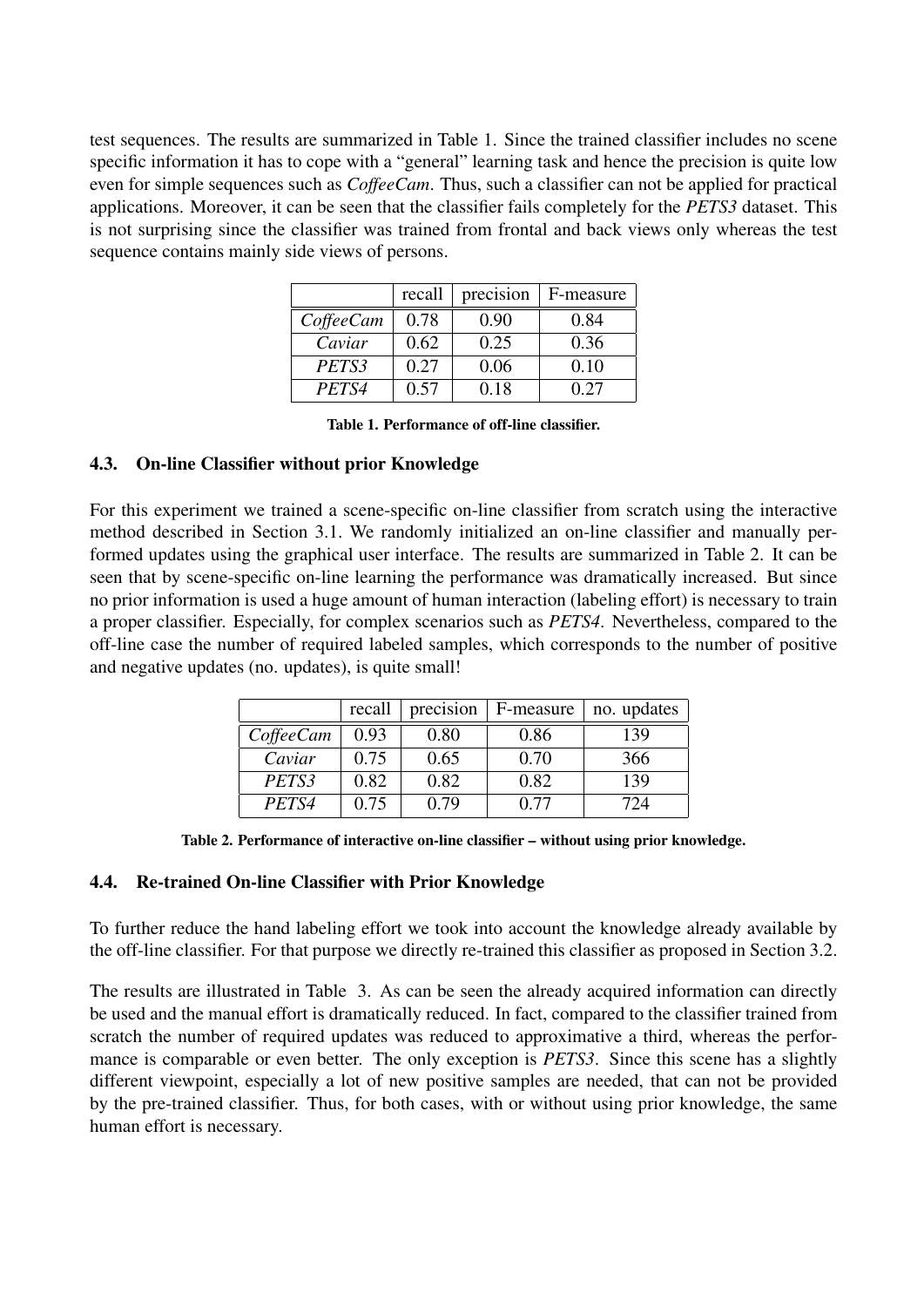test sequences. The results are summarized in Table 1. Since the trained classifier includes no scene specific information it has to cope with a "general" learning task and hence the precision is quite low even for simple sequences such as *CoffeeCam*. Thus, such a classifier can not be applied for practical applications. Moreover, it can be seen that the classifier fails completely for the *PETS3* dataset. This is not surprising since the classifier was trained from frontal and back views only whereas the test sequence contains mainly side views of persons.

|           | recall | precision | F-measure |
|-----------|--------|-----------|-----------|
| CoffeeCam | 0.78   | 0.90      | 0.84      |
| Caviar    | 0.62   | 0.25      | 0.36      |
| PETS3     | 0.27   | 0.06      | 0.10      |
| PETS4     | 0.57   | 0.18      | 0.27      |

Table 1. Performance of off-line classifier.

## 4.3. On-line Classifier without prior Knowledge

For this experiment we trained a scene-specific on-line classifier from scratch using the interactive method described in Section 3.1. We randomly initialized an on-line classifier and manually performed updates using the graphical user interface. The results are summarized in Table 2. It can be seen that by scene-specific on-line learning the performance was dramatically increased. But since no prior information is used a huge amount of human interaction (labeling effort) is necessary to train a proper classifier. Especially, for complex scenarios such as *PETS4*. Nevertheless, compared to the off-line case the number of required labeled samples, which corresponds to the number of positive and negative updates (no. updates), is quite small!

|                | recall | precision | F-measure | no. updates |
|----------------|--------|-----------|-----------|-------------|
| $Cof \neq Cam$ | 0.93   | 0.80      | 0.86      | 139         |
| Caviar         | 0.75   | 0.65      | 0.70      | 366         |
| PETS3          | 0.82   | 0.82      | 0.82      | 139         |
| PETS4          | 0.75   | 0.79      | በ 77      | 774         |

Table 2. Performance of interactive on-line classifier – without using prior knowledge.

### 4.4. Re-trained On-line Classifier with Prior Knowledge

To further reduce the hand labeling effort we took into account the knowledge already available by the off-line classifier. For that purpose we directly re-trained this classifier as proposed in Section 3.2.

The results are illustrated in Table 3. As can be seen the already acquired information can directly be used and the manual effort is dramatically reduced. In fact, compared to the classifier trained from scratch the number of required updates was reduced to approximative a third, whereas the performance is comparable or even better. The only exception is *PETS3*. Since this scene has a slightly different viewpoint, especially a lot of new positive samples are needed, that can not be provided by the pre-trained classifier. Thus, for both cases, with or without using prior knowledge, the same human effort is necessary.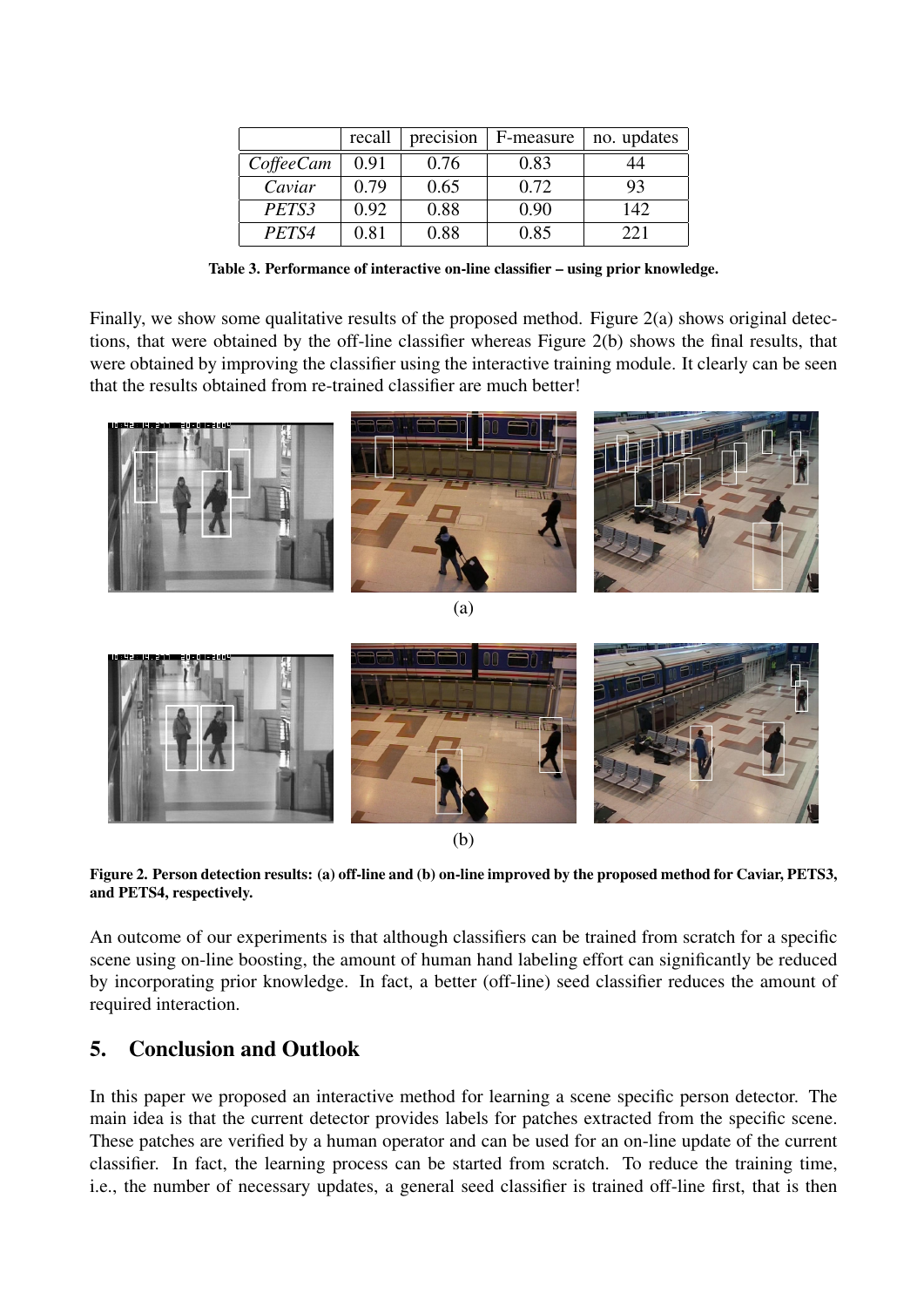|                  | recall | precision | F-measure | no. updates |
|------------------|--------|-----------|-----------|-------------|
| <i>CoffeeCam</i> | 0.91   | 0.76      | 0.83      | 14          |
| Caviar           | 0.79   | 0.65      | 0.72      | 93          |
| PETS3            | 0.92   | 0.88      | 0.90      | 142         |
| PETS4            | 0.81   | 0.88      | 0.85      | 221         |

Table 3. Performance of interactive on-line classifier – using prior knowledge.

Finally, we show some qualitative results of the proposed method. Figure 2(a) shows original detections, that were obtained by the off-line classifier whereas Figure 2(b) shows the final results, that were obtained by improving the classifier using the interactive training module. It clearly can be seen that the results obtained from re-trained classifier are much better!



(b)

Figure 2. Person detection results: (a) off-line and (b) on-line improved by the proposed method for Caviar, PETS3, and PETS4, respectively.

An outcome of our experiments is that although classifiers can be trained from scratch for a specific scene using on-line boosting, the amount of human hand labeling effort can significantly be reduced by incorporating prior knowledge. In fact, a better (off-line) seed classifier reduces the amount of required interaction.

# 5. Conclusion and Outlook

In this paper we proposed an interactive method for learning a scene specific person detector. The main idea is that the current detector provides labels for patches extracted from the specific scene. These patches are verified by a human operator and can be used for an on-line update of the current classifier. In fact, the learning process can be started from scratch. To reduce the training time, i.e., the number of necessary updates, a general seed classifier is trained off-line first, that is then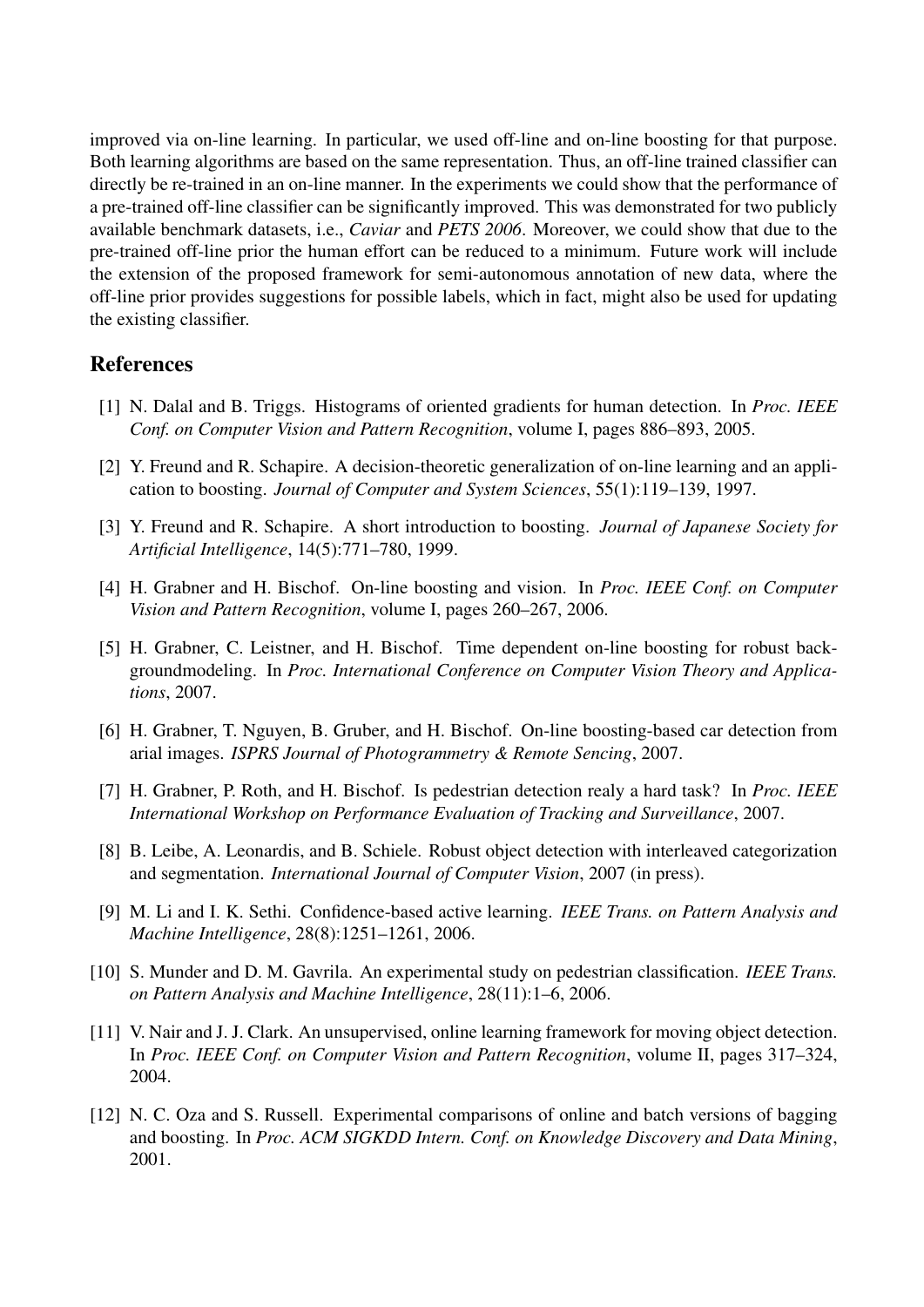improved via on-line learning. In particular, we used off-line and on-line boosting for that purpose. Both learning algorithms are based on the same representation. Thus, an off-line trained classifier can directly be re-trained in an on-line manner. In the experiments we could show that the performance of a pre-trained off-line classifier can be significantly improved. This was demonstrated for two publicly available benchmark datasets, i.e., *Caviar* and *PETS 2006*. Moreover, we could show that due to the pre-trained off-line prior the human effort can be reduced to a minimum. Future work will include the extension of the proposed framework for semi-autonomous annotation of new data, where the off-line prior provides suggestions for possible labels, which in fact, might also be used for updating the existing classifier.

## **References**

- [1] N. Dalal and B. Triggs. Histograms of oriented gradients for human detection. In *Proc. IEEE Conf. on Computer Vision and Pattern Recognition*, volume I, pages 886–893, 2005.
- [2] Y. Freund and R. Schapire. A decision-theoretic generalization of on-line learning and an application to boosting. *Journal of Computer and System Sciences*, 55(1):119–139, 1997.
- [3] Y. Freund and R. Schapire. A short introduction to boosting. *Journal of Japanese Society for Artificial Intelligence*, 14(5):771–780, 1999.
- [4] H. Grabner and H. Bischof. On-line boosting and vision. In *Proc. IEEE Conf. on Computer Vision and Pattern Recognition*, volume I, pages 260–267, 2006.
- [5] H. Grabner, C. Leistner, and H. Bischof. Time dependent on-line boosting for robust backgroundmodeling. In *Proc. International Conference on Computer Vision Theory and Applications*, 2007.
- [6] H. Grabner, T. Nguyen, B. Gruber, and H. Bischof. On-line boosting-based car detection from arial images. *ISPRS Journal of Photogrammetry & Remote Sencing*, 2007.
- [7] H. Grabner, P. Roth, and H. Bischof. Is pedestrian detection realy a hard task? In *Proc. IEEE International Workshop on Performance Evaluation of Tracking and Surveillance*, 2007.
- [8] B. Leibe, A. Leonardis, and B. Schiele. Robust object detection with interleaved categorization and segmentation. *International Journal of Computer Vision*, 2007 (in press).
- [9] M. Li and I. K. Sethi. Confidence-based active learning. *IEEE Trans. on Pattern Analysis and Machine Intelligence*, 28(8):1251–1261, 2006.
- [10] S. Munder and D. M. Gavrila. An experimental study on pedestrian classification. *IEEE Trans. on Pattern Analysis and Machine Intelligence*, 28(11):1–6, 2006.
- [11] V. Nair and J. J. Clark. An unsupervised, online learning framework for moving object detection. In *Proc. IEEE Conf. on Computer Vision and Pattern Recognition*, volume II, pages 317–324, 2004.
- [12] N. C. Oza and S. Russell. Experimental comparisons of online and batch versions of bagging and boosting. In *Proc. ACM SIGKDD Intern. Conf. on Knowledge Discovery and Data Mining*, 2001.